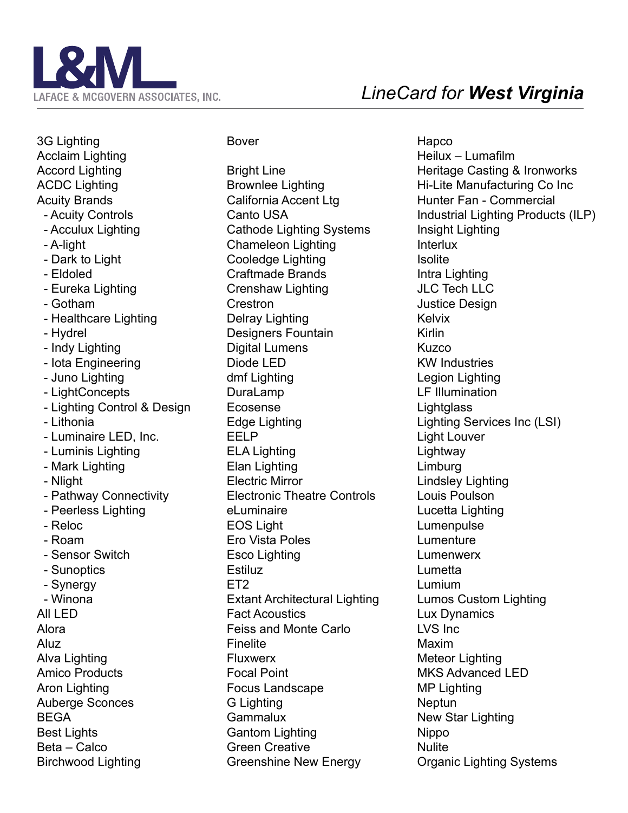

3G Lighting Acclaim Lighting Accord Lighting ACDC Lighting Acuity Brands - Acuity Controls - Acculux Lighting - A-light - Dark to Light - Eldoled - Eureka Lighting - Gotham - Healthcare Lighting - Hydrel - Indy Lighting - Iota Engineering - Juno Lighting - LightConcepts - Lighting Control & Design - Lithonia - Luminaire LED, Inc. - Luminis Lighting - Mark Lighting - Nlight - Pathway Connectivity - Peerless Lighting - Reloc - Roam - Sensor Switch - Sunoptics - Synergy - Winona All LED Alora Aluz Alva Lighting Amico Products Aron Lighting Auberge Sconces BEGA Best Lights Beta – Calco Birchwood Lighting

## Bover

Bright Line Brownlee Lighting California Accent Ltg Canto USA Cathode Lighting Systems Chameleon Lighting Cooledge Lighting Craftmade Brands Crenshaw Lighting Crestron Delray Lighting Designers Fountain Digital Lumens Diode LED dmf Lighting DuraLamp Ecosense Edge Lighting EELP ELA Lighting Elan Lighting Electric Mirror Electronic Theatre Controls eLuminaire EOS Light Ero Vista Poles Esco Lighting Estiluz ET<sub>2</sub> Extant Architectural Lighting Fact Acoustics Feiss and Monte Carlo Finelite Fluxwerx Focal Point Focus Landscape G Lighting Gammalux Gantom Lighting Green Creative Greenshine New Energy

Hapco Heilux – Lumafilm Heritage Casting & Ironworks Hi-Lite Manufacturing Co Inc Hunter Fan - Commercial Industrial Lighting Products (ILP) Insight Lighting Interlux **Isolite** Intra Lighting JLC Tech LLC Justice Design Kelvix Kirlin Kuzco KW Industries Legion Lighting LF Illumination **Lightglass** Lighting Services Inc (LSI) Light Louver Lightway Limburg Lindsley Lighting Louis Poulson Lucetta Lighting Lumenpulse Lumenture Lumenwerx Lumetta Lumium Lumos Custom Lighting Lux Dynamics LVS Inc Maxim Meteor Lighting MKS Advanced LED MP Lighting Neptun New Star Lighting Nippo **Nulite** Organic Lighting Systems